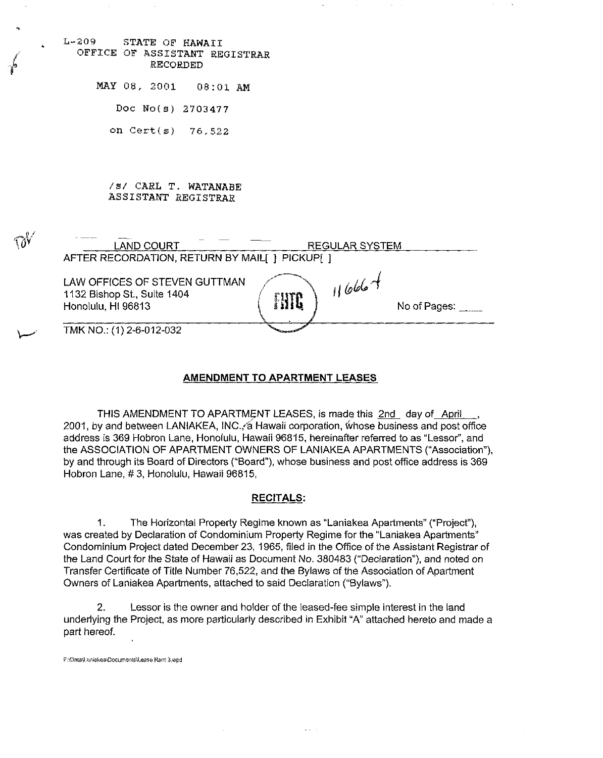| ÷,         |                                                                                                                               |
|------------|-------------------------------------------------------------------------------------------------------------------------------|
|            | $L - 209$<br>STATE OF HAWAII<br>OFFICE OF ASSISTANT REGISTRAR<br>RECORDED                                                     |
|            | MAY 08, 2001 08:01 AM                                                                                                         |
|            | Doc No(s) 2703477                                                                                                             |
|            | on Cert $(s)$ 76.522                                                                                                          |
|            |                                                                                                                               |
|            | /s/ CARL T. WATANABE<br>ASSISTANT REGISTRAR                                                                                   |
| $\gamma$ v | <b>LAND COURT</b><br>REGULAR SYSTEM<br>AFTER RECORDATION, RETURN BY MAIL[] PICKUP[]                                           |
|            | $1666 +$<br>LAW OFFICES OF STEVEN GUTTMAN<br>1132 Bishop St., Suite 1404<br><b>FITC</b><br>Honolulu, HI 96813<br>No of Pages: |
|            | TMK NO.: (1) 2-6-012-032                                                                                                      |

#### **AMENDMENT TO APARTMENT LEASES**

THIS AMENDMENT TO APARTMENT LEASES, is made this 2nd day of April 2001, by and between LANIAKEA, INC. a Hawaii corporation, whose business and post office address is 369 Hobron Lane, Honolulu, Hawaii 96815, hereinafter referred to as "Lessor", and the ASSOCIATION OF APARTMENT OWNERS OF LANIAKEA APARTMENTS ("Association"), by and through its Board of Directors ("Board"), whose business and post office address is 369 Hobron Lane, # 3, Honolulu, Hawaii 96815,

## **RECITALS:**

1. The Horizontal Property Regime known as "Laniakea Apartments" ("Projecf'), was created by Declaration of Condominium Property Regime for the "Laniakea Apartments" Condominium Project dated December 23, 1965, filed in the Office of the Assistant Registrar of the Land Court for the State of Hawaii as Document No. 380483 ("Declaration"), and noted on Transfer Certificate of Title Number 76,522, and the Bylaws of the Association of Apartment Owners of Laniakea Apartments, attached to said Declaration ("Bylaws").

2. Lessor is the owner and holder of the leased-fee simple interest in the land underlying the Project, as more particularly described in Exhibit "A" attached hereto and made a part hereof.

 $\mathcal{L}(\mathcal{A})$  .  $\mathcal{A}(\mathcal{A})$ 

F;\Data\Laniakea\Documents\Lease Rent 3.wpd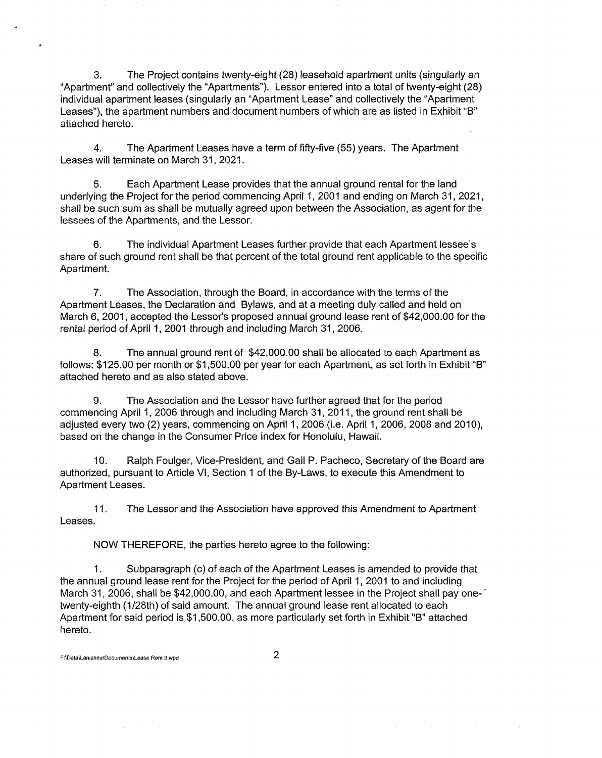3. The Project contains twenty-eight (28) leasehold apartment units (singularly an "Apartment" and collectively the "Apartments"). Lessor entered into a total of twenty-eight (28) individual apartment leases (singularly an "Apartment Lease" and collectively the "Apartment Leases"), the apartment numbers and document numbers of which are as listed in Exhibit "B" attached hereto.

4. The Apartment Leases have a term of fifty-five (55) years. The Apartment Leases will terminate on March 31, 2021.

5. Each Apartment Lease provides that the annual ground rental for the land underlying the Project for the period commencing April 1,2001 and ending on March 31,2021, shall be such sum as shall be mutually agreed upon between the Association, as agent for the' lessees of the Apartments, and the Lessor.

6. The individual Apartment Leases further provide that each Apartment lessee's share of such ground rent shall be that percent of the total ground rent applicable to the specific Apartment.

7. The Association, through the Board, in accordance with the terms of the Apartment Leases, the Declaration and Bylaws, and at a meeting duly called and held on March 6, 2001, accepted the Lessor's proposed annual ground lease rent of \$42,000.00 for the rental period of April 1, 2001 through and including March 31, 2006.

8. The annual ground rent of \$42,000.00 shall be allocated to each Apartment as follows: \$125.00 per month or \$1 ,500.00 per year for each Apartment, as set forth in Exhibit "B" attached hereto and as also stated above.

9. The Association and the Lessor have further agreed that for the period commencing April 1, 2006 through and including March 31, 2011, the ground rent shall be adjusted every two (2) years, commencing on April 1, 2006 (i.e. April 1, 2006, 2008 and 2010), based on the change in the Consumer Price Index for Honolulu, Hawaii.

10. Ralph Foulger, Vice-President, and Gail P. Pacheco, Secretary of the Board are authorized, pursuant to Article VI, Section 1 of the By-Laws, to execute this Amendment to Apartment Leases.

11. Leases. The Lessor and the Association have approved this Amendment to Apartment

NOW THEREFORE, the parties hereto agree to the following:

1. Subparagraph (c) of each of the Apartment Leases is amended to provide that the annual ground lease rent for the Project for the period of April 1, 2001 to and including March 31, 2006, shall be \$42,000.00, and each Apartment lessee in the Project shall pay onetwenty-eighth (1/28th) of said amount. The annual ground lease rent allocated to each Apartment for said period is \$1,500.00, as more particularly set forth in Exhibit "B" attached hereto.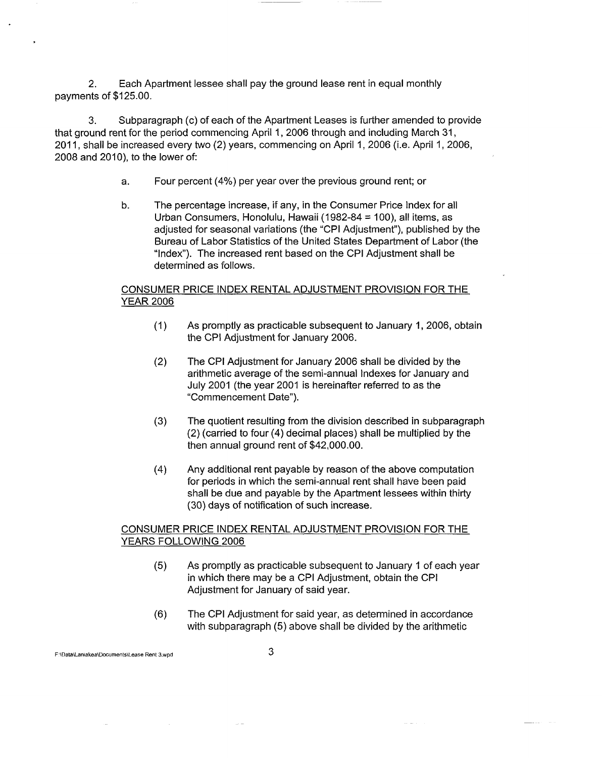2. Each Apartment lessee shall pay the ground lease rent in equal monthly payments of \$125.00.

3. Subparagraph (c) of each of the Apartment Leases is further amended to provide that ground rent for the period commencing April 1,2006 through and including March 31, 2011, shall be increased every two (2) years, commencing on April 1, 2006 (Le. April 1, 2006, 2008 and 2010), to the lower of:

- a. Four percent (4%) per year over the previous ground rent; or
- b. The percentage increase, if any, in the Consumer Price Index for all Urban Consumers, Honolulu, Hawaii (1982-84 = 100), all items, as adjusted for seasonal variations (the "CPI Adjustment"), published by the Bureau of Labor Statistics of the United States Department of Labor (the "Index"). The increased rent based on the CPI Adjustment shall be determined as follows.

### CONSUMER PRICE INDEX RENTAL ADJUSTMENT PROVISION FOR THE YEAR 2006

- (1) As promptly as practicable subsequent to January 1,2006, obtain the CPI Adjustment for January 2006.
- (2) The CPI Adjustment for January 2006 shall be divided by the arithmetic average of the semi-annual Indexes for January and July 2001 (the year 2001 is hereinafter referred to as the "Commencement Date").
- (3) The quotient resulting from the division described in subparagraph (2) (carried to four (4) decimal places) shall be multiplied by the then annual ground rent of \$42,000.00.
- (4) Any additional rent payable by reason of the above computation for periods in which the semi-annual rent shall have been paid shall be due and payable by the Apartment lessees within thirty (30) days of notification of such increase.

# CONSUMER PRICE INDEX RENTAL ADJUSTMENT PROVISION FOR THE YEARS FOLLOWING 2006

- (5) As promptly as practicable subsequent to January 1 of each year in which there may be a CPI Adjustment, obtain the CPI Adjustment for January of said year.
- (6) The CPI Adjustment for said year, as determined in accordance with subparagraph (5) above shall be divided by the arithmetic

F:lDatalLaniakealDocumentsllease Rent 3.wpd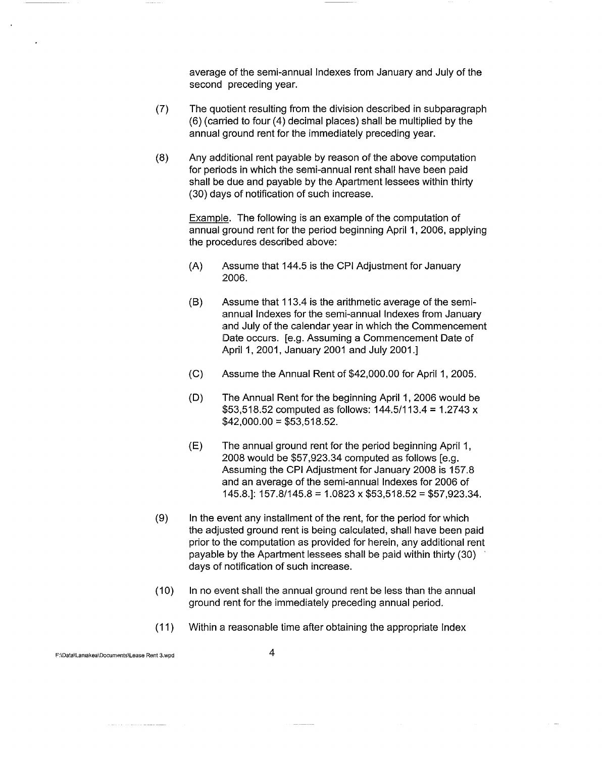average of the semi-annual Indexes from January and July of the second preceding year.

- (7) The quotient resulting from the division described in subparagraph (6) (carried to four (4) decimal places) shall be multiplied by the annual ground rent for the immediately preceding year.
- (8) Any additional rent payable by reason of the above computation for periods in which the semi-annual rent shall have been paid shall be due and payable by the Apartment lessees within thirty (30) days of notification of such increase.

Example. The following is an example of the computation of annual ground rent for the period beginning April 1, 2006, applying the procedures described above:

- (A) Assume that 144.5 is the CPI Adjustment for January 2006.
- (B) Assume that 113.4 is the arithmetic average of the semiannual Indexes for the semi-annual Indexes from January and July of the calendar year in which the Commencement Date occurs. [e.g. Assuming a Commencement Date of April 1, 2001, January 2001 and July 2001.]
- (C) Assume the Annual Rent of \$42,000.00 for April 1, 2005.
- (D) The Annual Rent for the beginning April 1, 2006 would be \$53,518.52 computed as follows:  $144.5/113.4 = 1.2743 x$  $$42,000.00 = $53,518.52$ .
- (E) The annual ground rent for the period beginning April 1, 2008 would be \$57,923.34 computed as follows [e.g. Assuming the CPI Adjustment for January 2008 is 157.8 and an average of the semi-annual Indexes for 2006 of 145.8.]: 157.8/145.8 = 1.0823 x \$53,518.52 = \$57,923.34.
- (9) In the event any installment of the rent, for the period for which the adjusted ground rent is being calculated, shall have been paid prior to the computation as provided for herein, any additional rent payable by the Apartment lessees shall be paid within thirty (30) days of notification of such increase.
- (10) In no event shall the annual ground rent be less than the annual ground rent for the immediately preceding annual period.
- $(11)$ Within a reasonable time after obtaining the appropriate Index

F:\Data\lamakea\Documents\lease Rent 3.wpd

للصحائص والمستعادة والمنادية

4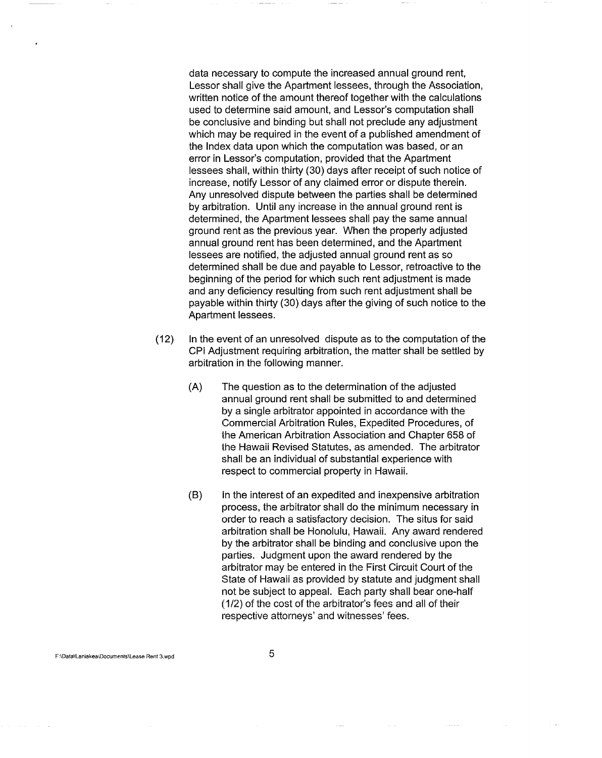data necessary to compute the increased annual ground rent, Lessor shall give the Apartment lessees, through the Association, written notice of the amount thereof together with the calculations used to determine said amount, and Lessor's computation shall be conclusive and binding but shall not preclude any adjustment which may be required in the event of a published amendment of the Index data upon which the computation was based, or an error in Lessor's computation, provided that the Apartment lessees shall, within thirty (30) days after receipt of such notice of increase, notify Lessor of any claimed error or dispute therein. Any unresolved dispute between the parties shall be determined by arbitration. Until any increase in the annual ground rent is determined, the Apartment lessees shall pay the same annual ground rent as the previous year. When the properly adjusted annual ground rent has been determined, and the Apartment lessees are notified, the adjusted annual ground rent as so determined shall be due and payable to Lessor, retroactive to the beginning of the period for which such rent adjustment is made and any deficiency resulting from such rent adjustment shall be payable within thirty (30) days after the giving of such notice to the Apartment lessees.

- (12) In the event of an unresolved dispute as to the computation of the CPI Adjustment requiring arbitration, the matter shall be settled by arbitration in the following manner.
	- (A) The question as to the determination of the adjusted annual ground rent shall be submitted to and determined by a single arbitrator appointed in accordance with the Commercial Arbitration Rules, Expedited Procedures, of the American Arbitration Association and Chapter 658 of the Hawaii Revised Statutes, as amended. The arbitrator shall be an individual of substantial experience with respect to commercial property in Hawaii.
	- (8) In the interest of an expedited and inexpensive arbitration process, the arbitrator shall do the minimum necessary in order to reach a satisfactory decision. The situs for said arbitration shall be Honolulu, Hawaii. Any award rendered by the arbitrator shall be binding and conclusive upon the parties. Judgment upon the award rendered by the arbitrator may be entered in the First Circuit Court of the State of Hawaii as provided by statute and judgment shall not be subject to appeal. Each party shall bear one-half (1/2) of the cost of the arbitrator's fees and all of their respective attorneys' and witnesses' fees.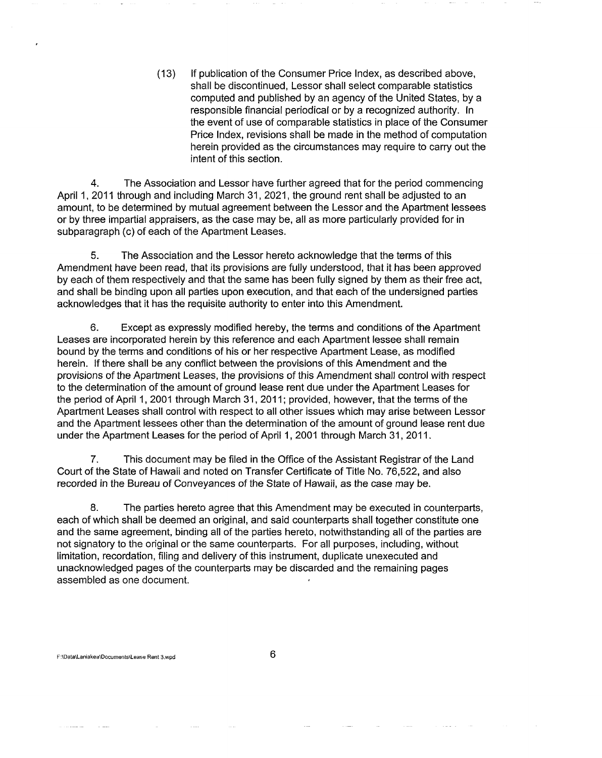(13) If publication of the Consumer Price Index, as described above, shall be discontinued, Lessor shall select comparable statistics computed and published by an agency of the United States, by a responsible financial periodical or by a recognized authority. In the event of use of comparable statistics in place of the Consumer Price Index, revisions shall be made in the method of computation herein provided as the circumstances may require to carry out the intent of this section.

4. The Association and Lessor have further agreed that for the period commencing April 1, 2011 through and including March 31, 2021, the ground rent shall be adjusted to an amount, to be determined by mutual agreement between the Lessor and the Apartment lessees or by three impartial appraisers, as the case may be, all as more particularly provided for in subparagraph (c) of each of the Apartment Leases.

5. The Association and the Lessor hereto acknowledge that the terms of this Amendment have been read, that its provisions are fully understood, that it has been approved by each of them respectively and that the same has been fully signed by them as their free act, and shall be binding upon all parties upon execution, and that each of the undersigned parties acknowledges that it has the requisite authority to enter into this Amendment.

6. Except as expressly modified hereby, the terms and conditions of the Apartment Leases are incorporated herein by this reference and each Apartment lessee shall remain bound by the terms and conditions of his or her respective Apartment Lease, as modified herein. If there shall be any conflict between the provisions of this Amendment and the provisions of the Apartment Leases, the provisions of this Amendment shall control with respect to the determination of the amount of ground lease rent due under the Apartment Leases for the period of April 1,2001 through March 31,2011; provided, however, that the terms of the Apartment Leases shall control with respect to all other issues which may arise between Lessor and the Apartment lessees other than the determination of the amount of ground lease rent due under the Apartment Leases for the period of April 1, 2001 through March 31,2011.

7. This document may be filed in the Office of the Assistant Registrar of the Land Court of the State of Hawaii and noted on Transfer Certificate of Title No. 76,522, and also recorded in the Bureau of Conveyances of the State of Hawaii, as the case may be.

8. The parties hereto agree that this Amendment may be executed in counterparts, each of which shall be deemed an original, and said counterparts shall together constitute one and the same agreement, binding all of the parties hereto, notwithstanding all of the parties are not signatory to the original or the same counterparts. For all purposes, including, without limitation, recordation, filing and delivery of this instrument, duplicate unexecuted and unacknowledged pages of the counterparts may be discarded and the remaining pages assembled as one document.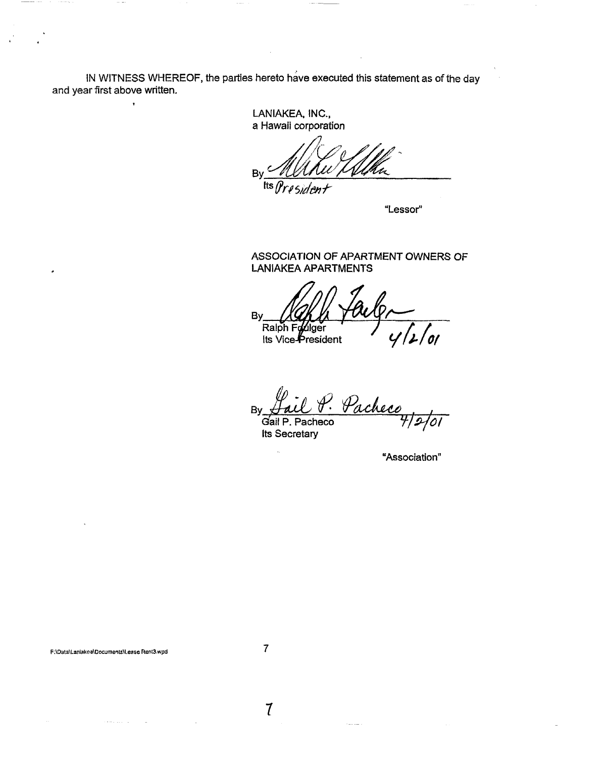IN WITNESS WHEREOF, the parties hereto have executed this statement as of the day and year first above written.

> LANIAKEA, INC., a Hawaii corporation

 $B<sub>1</sub>$ Its  $\eta$ 

"Lessor"

ASSOCIATION OF APARTMENT OWNERS OF **LANIAKEA APARTMENTS** 

By Ralph Fo ulger 'ol Its Vice-President

Pacheco  $B<sub>0</sub>$ Gail P. Pacheco

**Its Secretary** 

"Association"

F:\Data\Laniakea\Documents\Lease Rent3.wpd

 $\overline{\mathbf{r}}$ 

 $\overline{l}$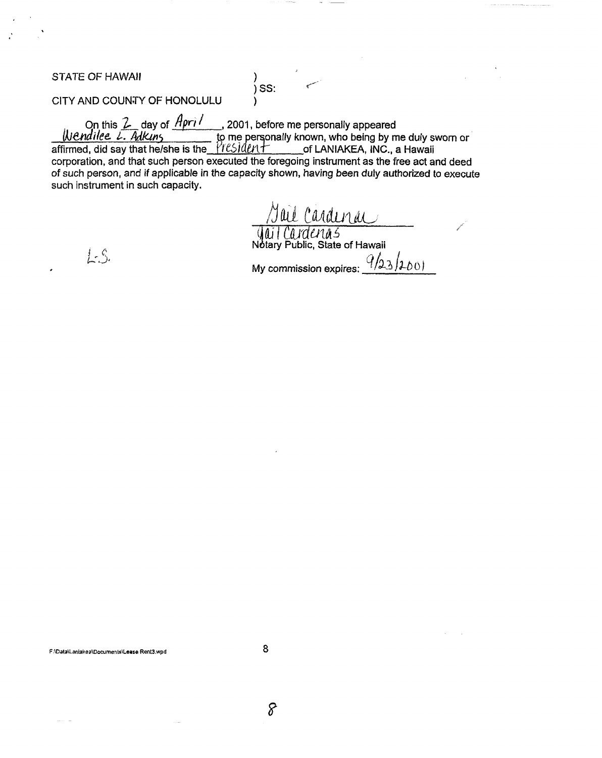STATE OF HAWAII (1999)

 $\int$  SS:

CITY AND COUNTY OF HONOLULU )

On this  $\angle$  day of  $A$ pri  $\prime$  , 2001, before me personally appeared *IN&ndilee. L. Adkins*  $\frac{1}{2}$  to me personally known, who being by me duly sworn or affirmed, did say that he/she is the  $PreSlden+$  of LANIAKEA, INC., a Hawaii

corporation. and that such person executed the foregoing instrument as the free act and deed of such person, and if applicable in the capacity shown, having been duly authorized to execute such instrument in such capacity.

Jul Curvul/UC<br>| Jui Curdenus<br>| Notary Public, State of Hawaii

 $L-S$ 

My commission expires:  $\frac{q_{23}}{100}$ 

 $F:\Delta$ Data\Laniakea\Documents\Lease Rent3,wpd 8

8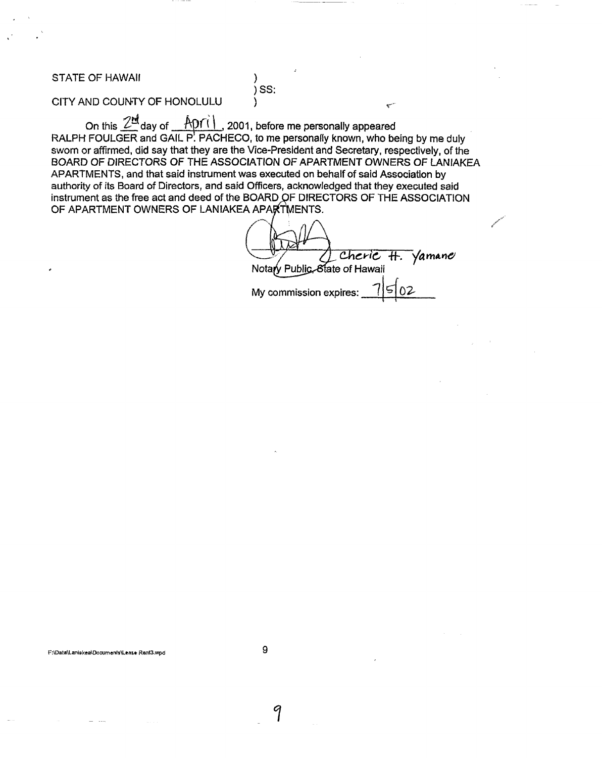STATE OF HAWAII (1999)

)SS:

# CITY AND COUNTY OF HONOLULU )

On this  $2^{\frac{nd}{n}}$  day of  $p(1)$ , 2001, before me personally appeared RALPH FOULGER and GAIL P. PACHECO, to me personally known, who being by me duly sworn or affirmed, did say that they are the Vice-President and Secretary, respectively, of the BOARD OF DIRECTORS OF THE ASSOCIATION OF APARTMENT OWNERS OF lANIAKEA APARTMENTS, and that said instrument was executed on behalf of said Association by authority of its Board of Directors, and said Officers, acknowledged that they executed said instrument as the free act and deed of the BOARD OF DIRECTORS OF THE ASSOCIATION OF APARTMENT OWNERS OF LANIAKEA APARTMENTS.

Cheric  $H.$  Vamane Notary Public, State of Hawaii My commission expires:

F:IDataILaniakealDocumenlslLease Renl3.wpd 9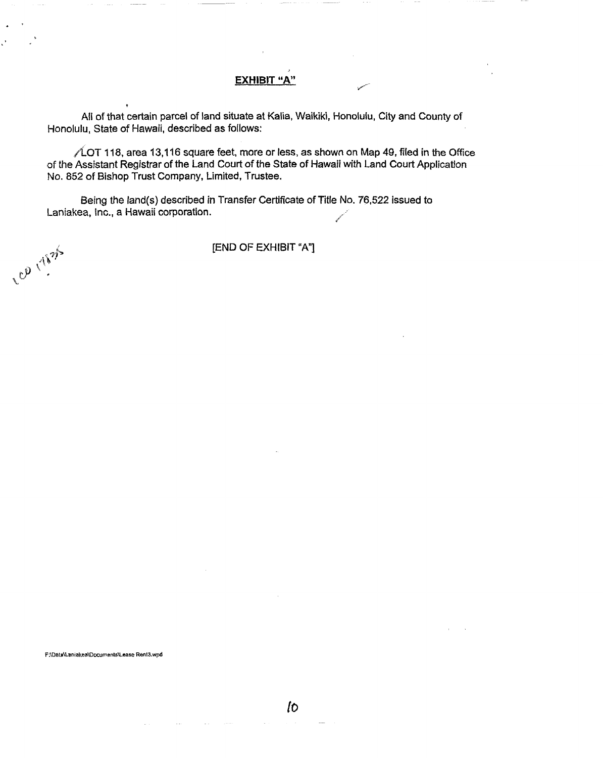### **EXHIBIT** "A"

All of that certain parcel of land situate at Kalia, Waikiki, Honolulu, City and County of Honolulu. State of Hawaii, described as follows:

 $\sqrt{\text{\textsterling }}$  118, area 13,116 square feet, more or less, as shown on Map 49, filed in the Office of the Assistant Registrar of the Land Court of the State of Hawaii with Land Court Application No. 852 of Bishop Trust Company, Limited, Trustee.

Being the land(s) described in Transfer Certificate of Title No. 76,522 issued to Laniakea, Inc., a Hawaii corporation.

[END OF EXHIBIT "A"]

F:\Data\Laniakea\Documents\Lease Renl3.wpd

Lep rises